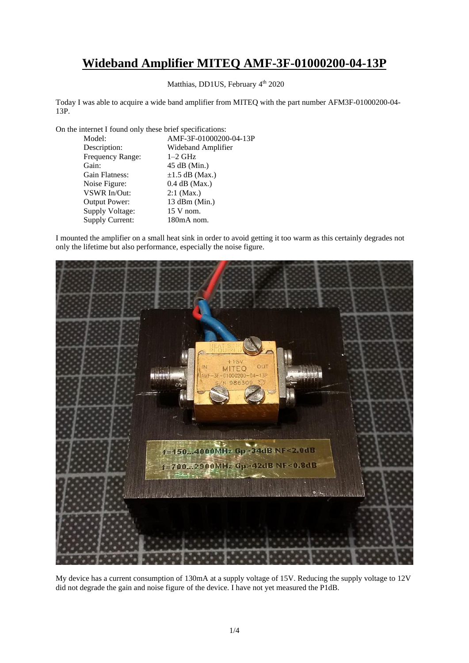## **Wideband Amplifier MITEQ AMF-3F-01000200-04-13P**

Matthias, DD1US, February 4<sup>th</sup> 2020

Today I was able to acquire a wide band amplifier from MITEQ with the part number AFM3F-01000200-04- 13P.

On the internet I found only these brief specifications:

| Model:               | AMF-3F-01000200-04-13P |
|----------------------|------------------------|
| Description:         | Wideband Amplifier     |
| Frequency Range:     | $1-2$ GHz              |
| Gain:                | $45$ dB (Min.)         |
| Gain Flatness:       | $\pm 1.5$ dB (Max.)    |
| Noise Figure:        | $0.4$ dB (Max.)        |
| VSWR In/Out:         | $2:1$ (Max.)           |
| <b>Output Power:</b> | 13 dBm (Min.)          |
| Supply Voltage:      | $15$ V nom.            |
| Supply Current:      | 180mA nom.             |
|                      |                        |

I mounted the amplifier on a small heat sink in order to avoid getting it too warm as this certainly degrades not only the lifetime but also performance, especially the noise figure.



My device has a current consumption of 130mA at a supply voltage of 15V. Reducing the supply voltage to 12V did not degrade the gain and noise figure of the device. I have not yet measured the P1dB.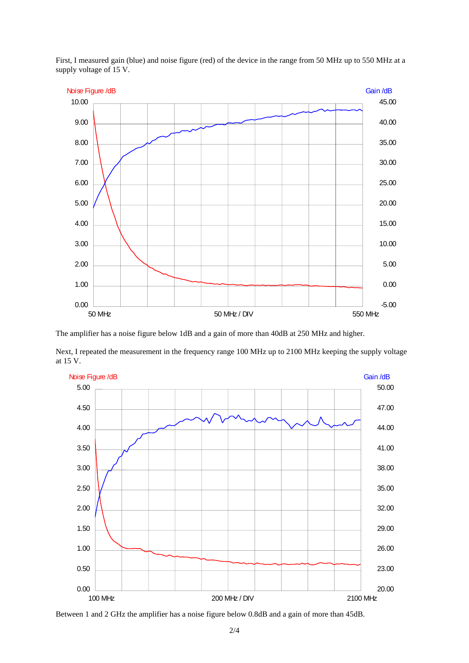

First, I measured gain (blue) and noise figure (red) of the device in the range from 50 MHz up to 550 MHz at a supply voltage of 15 V.

The amplifier has a noise figure below 1dB and a gain of more than 40dB at 250 MHz and higher.

Next, I repeated the measurement in the frequency range 100 MHz up to 2100 MHz keeping the supply voltage at 15 V.



Between 1 and 2 GHz the amplifier has a noise figure below 0.8dB and a gain of more than 45dB.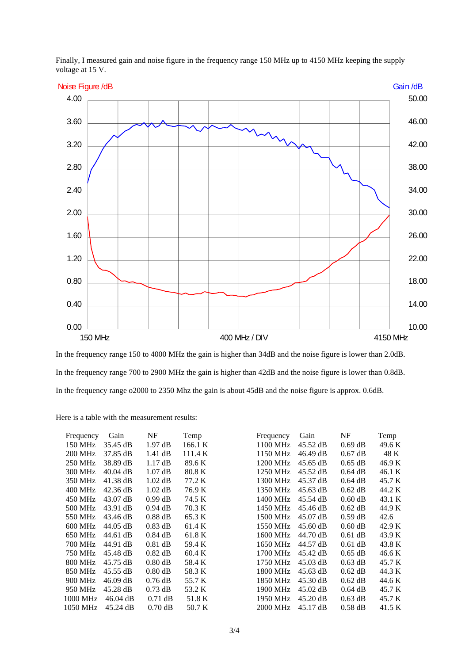Finally, I measured gain and noise figure in the frequency range 150 MHz up to 4150 MHz keeping the supply voltage at 15 V.



In the frequency range 150 to 4000 MHz the gain is higher than 34dB and the noise figure is lower than 2.0dB. In the frequency range 700 to 2900 MHz the gain is higher than 42dB and the noise figure is lower than 0.8dB. In the frequency range o2000 to 2350 Mhz the gain is about 45dB and the noise figure is approx. 0.6dB.

Here is a table with the measurement results:

| Frequency      | Gain               | NF        | Temp    | Frequency | Gain               | NF        | Temp   |
|----------------|--------------------|-----------|---------|-----------|--------------------|-----------|--------|
| 150 MHz        | 35.45 dB           | $1.97$ dB | 166.1 K | 1100 MHz  | 45.52 dB           | $0.69$ dB | 49.6 K |
| <b>200 MHz</b> | 37.85 dB           | $1.41$ dB | 111.4 K | 1150 MHz  | 46.49 dB           | $0.67$ dB | 48 K   |
| 250 MHz        | 38.89 dB           | 1.17 dB   | 89.6 K  | 1200 MHz  | $45.65$ dB         | $0.65$ dB | 46.9 K |
| 300 MHz        | $40.04$ dB         | $1.07$ dB | 80.8 K  | 1250 MHz  | 45.52 dB           | $0.64$ dB | 46.1 K |
| 350 MHz        | $41.38 \text{ dB}$ | $1.02$ dB | 77.2 K  | 1300 MHz  | 45.37 dB           | $0.64$ dB | 45.7 K |
| 400 MHz        | $42.36 \text{ dB}$ | $1.02$ dB | 76.9 K  | 1350 MHz  | $45.63 \text{ dB}$ | $0.62$ dB | 44.2 K |
| 450 MHz        | $43.07$ dB         | $0.99$ dB | 74.5 K  | 1400 MHz  | 45.54 dB           | $0.60$ dB | 43.1 K |
| 500 MHz        | 43.91 dB           | $0.94$ dB | 70.3 K  | 1450 MHz  | 45.46 dB           | $0.62$ dB | 44.9 K |
| 550 MHz        | $43.46 \text{ dB}$ | $0.88$ dB | 65.3 K  | 1500 MHz  | $45.07$ dB         | $0.59$ dB | 42.6   |
| 600 MHz        | $44.05$ dB         | $0.83$ dB | 61.4 K  | 1550 MHz  | $45.60 \text{ dB}$ | $0.60$ dB | 42.9 K |
| 650 MHz        | 44.61 dB           | $0.84$ dB | 61.8 K  | 1600 MHz  | 44.70 dB           | $0.61$ dB | 43.9 K |
| 700 MHz        | 44.91 dB           | $0.81$ dB | 59.4 K  | 1650 MHz  | 44.57 dB           | $0.61$ dB | 43.8 K |
| 750 MHz        | 45.48 dB           | $0.82$ dB | 60.4 K  | 1700 MHz  | 45.42 dB           | $0.65$ dB | 46.6 K |
| <b>800 MHz</b> | 45.75 dB           | $0.80$ dB | 58.4 K  | 1750 MHz  | $45.03$ dB         | $0.63$ dB | 45.7 K |
| 850 MHz        | $45.55$ dB         | $0.80$ dB | 58.3 K  | 1800 MHz  | $45.63 \text{ dB}$ | $0.62$ dB | 44.3 K |
| 900 MHz        | $46.09$ dB         | $0.76$ dB | 55.7 K  | 1850 MHz  | $45.30 \text{ dB}$ | $0.62$ dB | 44.6 K |
| 950 MHz        | 45.28 dB           | $0.73$ dB | 53.2 K  | 1900 MHz  | $45.02$ dB         | $0.64$ dB | 45.7 K |
| 1000 MHz       | $46.04$ dB         | $0.71$ dB | 51.8 K  | 1950 MHz  | $45.20 \text{ dB}$ | $0.63$ dB | 45.7 K |
| 1050 MHz       | $45.24 \text{ dB}$ | $0.70$ dB | 50.7 K  | 2000 MHz  | $45.17 \text{ dB}$ | $0.58$ dB | 41.5 K |
|                |                    |           |         |           |                    |           |        |